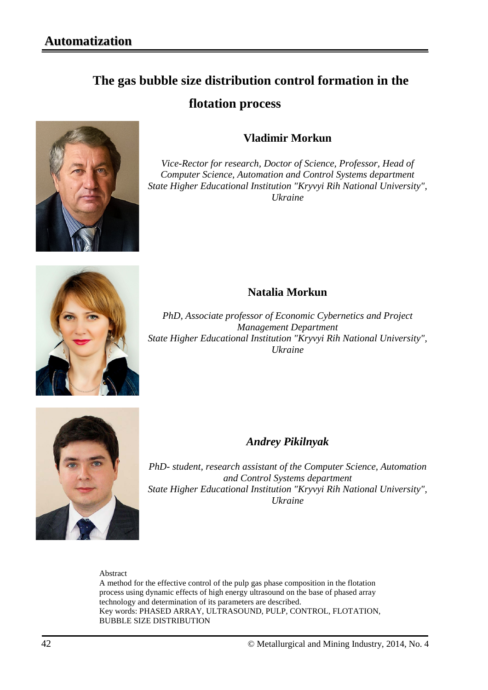# **The gas bubble size distribution control formation in the flotation process**



## **Vladimir Morkun**

*Vice-Rector for research, Doctor of Science, Professor, Head of Computer Science, Automation and Control Systems department State Higher Educational Institution "Kryvyi Rih National University", Ukraine*



### **Natalia Morkun**

*PhD, Associate professor of Economic Cybernetics and Project Management Department State Higher Educational Institution "Kryvyi Rih National University", Ukraine*



### *Andrey Pikilnyak*

*PhD- student, research assistant of the Computer Science, Automation and Control Systems department State Higher Educational Institution "Kryvyi Rih National University", Ukraine* 

Abstract

A method for the effective control of the pulp gas phase composition in the flotation process using dynamic effects of high energy ultrasound on the base of phased array technology and determination of its parameters are described. Key words: PHASED ARRAY, ULTRASOUND, PULP, CONTROL, FLOTATION, BUBBLE SIZE DISTRIBUTION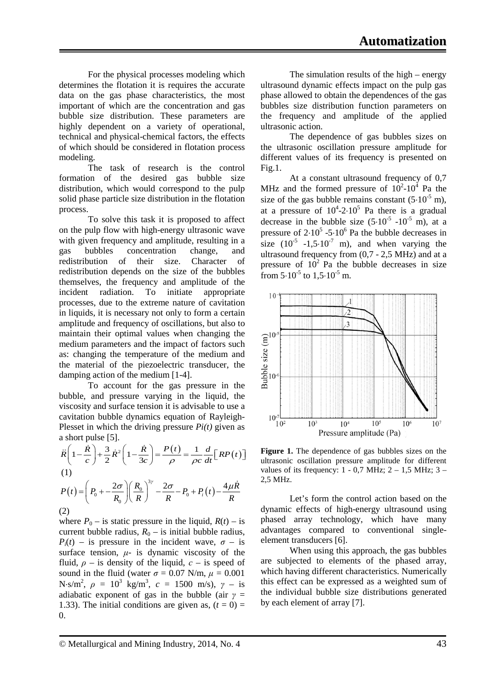For the physical processes modeling which determines the flotation it is requires the accurate data on the gas phase characteristics, the most important of which are the concentration and gas bubble size distribution. These parameters are highly dependent on a variety of operational, technical and physical-chemical factors, the effects of which should be considered in flotation process modeling.

The task of research is the control formation of the desired gas bubble size distribution, which would correspond to the pulp solid phase particle size distribution in the flotation process.

To solve this task it is proposed to affect on the pulp flow with high-energy ultrasonic wave with given frequency and amplitude, resulting in a gas bubbles concentration change, and redistribution of their size. Character of redistribution depends on the size of the bubbles themselves, the frequency and amplitude of the incident radiation. To initiate appropriate processes, due to the extreme nature of cavitation in liquids, it is necessary not only to form a certain amplitude and frequency of oscillations, but also to maintain their optimal values when changing the medium parameters and the impact of factors such as: changing the temperature of the medium and the material of the piezoelectric transducer, the damping action of the medium [1-4].

To account for the gas pressure in the bubble, and pressure varying in the liquid, the viscosity and surface tension it is advisable to use a cavitation bubble dynamics equation of Rayleigh-Plesset in which the driving pressure *Pi(t)* given as a short pulse [5].

$$
\ddot{R}\left(1-\frac{\dot{R}}{c}\right) + \frac{3}{2}\dot{R}^{2}\left(1-\frac{\dot{R}}{3c}\right) = \frac{P(t)}{\rho} = \frac{1}{\rho c}\frac{d}{dt}\left[RP(t)\right]
$$
\n(1)\n
$$
P(t) = \left(P_0 + \frac{2\sigma}{R_0}\right)\left(\frac{R_0}{R}\right)^{3\gamma} - \frac{2\sigma}{R} - P_0 + P_i(t) - \frac{4\mu\dot{R}}{R}
$$
\n(2)

where  $P_0$  – is static pressure in the liquid,  $R(t)$  – is current bubble radius,  $R_0$  – is initial bubble radius,  $P_i(t)$  – is pressure in the incident wave,  $\sigma$  – is surface tension,  $\mu$ - is dynamic viscosity of the fluid,  $\rho$  – is density of the liquid,  $c$  – is speed of sound in the fluid (water  $\sigma = 0.07$  N/m,  $\mu = 0.001$ N⋅s/m<sup>2</sup>,  $\rho = 10^3$  kg/m<sup>3</sup>,  $c = 1500$  m/s),  $\gamma -$  is adiabatic exponent of gas in the bubble (air  $\gamma$  = 1.33). The initial conditions are given as,  $(t = 0)$  =  $\Omega$ .

The simulation results of the high – energy ultrasound dynamic effects impact on the pulp gas phase allowed to obtain the dependences of the gas bubbles size distribution function parameters on the frequency and amplitude of the applied ultrasonic action.

The dependence of gas bubbles sizes on the ultrasonic oscillation pressure amplitude for different values of its frequency is presented on Fig.1.

At a constant ultrasound frequency of 0,7 MHz and the formed pressure of  $10^2$ - $10^4$  Pa the size of the gas bubble remains constant  $(5.10^{-5} \text{ m})$ , at a pressure of  $10^4$ -2⋅10<sup>5</sup> Pa there is a gradual decrease in the bubble size  $(5.10^{-5} - 10^{-5}$  m), at a pressure of  $2.10^5$  -5⋅10<sup>6</sup> Pa the bubble decreases in size  $(10^{-5}$  -1,5⋅10<sup>-7</sup> m), and when varying the ultrasound frequency from (0,7 - 2,5 MHz) and at a pressure of  $10^2$  Pa the bubble decreases in size from  $5.10^{-5}$  to  $1.5 \cdot 10^{-5}$  m.



**Figure 1.** The dependence of gas bubbles sizes on the ultrasonic oscillation pressure amplitude for different values of its frequency:  $1 - 0.7$  MHz;  $2 - 1.5$  MHz;  $3 -$ 2,5 MHz.

Let's form the control action based on the dynamic effects of high-energy ultrasound using phased array technology, which have many advantages compared to conventional singleelement transducers [6].

When using this approach, the gas bubbles are subjected to elements of the phased array, which having different characteristics. Numerically this effect can be expressed as a weighted sum of the individual bubble size distributions generated by each element of array [7].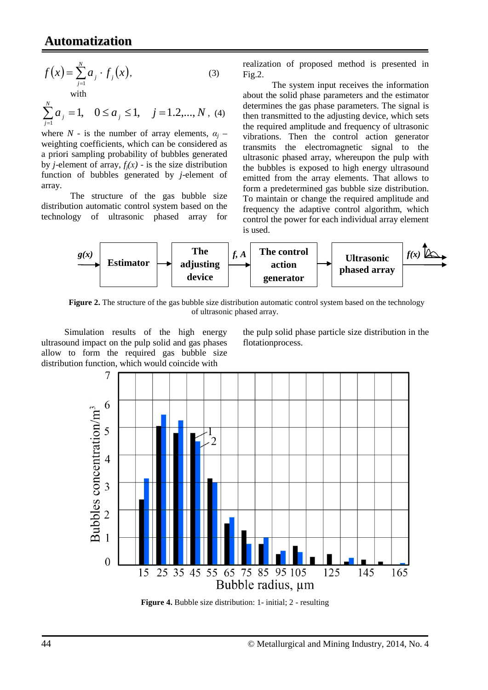## **Automatization**

$$
f(x) = \sum_{j=1}^{N} a_j \cdot f_j(x),
$$
  
with

 $\sum_{j=1}^{N} a_j = 1, \quad 0 \le a_j \le 1, \quad j = 1, 2, ..., N$  $\sum_{j=1} a_j = 1, \quad 0 \le a_j \le 1, \quad j = 1, 2, ..., N$ , (4)

where  $N$  - is the number of array elements,  $\alpha_j$  – weighting coefficients, which can be considered as a priori sampling probability of bubbles generated by *j*-element of array,  $f_i(x)$  - is the size distribution function of bubbles generated by *j*-element of array.

The structure of the gas bubble size distribution automatic control system based on the technology of ultrasonic phased array for

realization of proposed method is presented in Fig.2.

The system input receives the information about the solid phase parameters and the estimator determines the gas phase parameters. The signal is then transmitted to the adjusting device, which sets the required amplitude and frequency of ultrasonic vibrations. Then the control action generator transmits the electromagnetic signal to the ultrasonic phased array, whereupon the pulp with the bubbles is exposed to high energy ultrasound emitted from the array elements. That allows to form a predetermined gas bubble size distribution. To maintain or change the required amplitude and frequency the adaptive control algorithm, which control the power for each individual array element is used.



**Figure 2.** The structure of the gas bubble size distribution automatic control system based on the technology of ultrasonic phased array.

Simulation results of the high energy ultrasound impact on the pulp solid and gas phases allow to form the required gas bubble size distribution function, which would coincide with

the pulp solid phase particle size distribution in the flotationprocess.